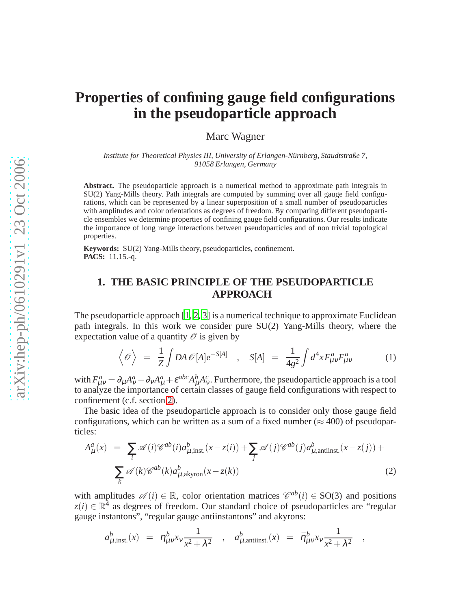# **Properties of confining gauge field configurations in the pseudoparticle approach**

Marc Wagner

*Institute for Theoretical Physics III, University of Erlangen-Nürnberg, Staudtstraße 7, 91058 Erlangen, Germany*

**Abstract.** The pseudoparticle approach is a numerical method to approximate path integrals in SU(2) Yang-Mills theory. Path integrals are computed by summing over all gauge field configurations, which can be represented by a linear superposition of a small number of pseudoparticles with amplitudes and color orientations as degrees of freedom. By comparing different pseudoparticle ensembles we determine properties of confining gauge field configurations. Our results indicate the importance of long range interactions between pseudoparticles and of non trivial topological properties.

**Keywords:** SU(2) Yang-Mills theory, pseudoparticles, confinement. **PACS:** 11.15.-q.

### **1. THE BASIC PRINCIPLE OF THE PSEUDOPARTICLE APPROACH**

The pseudoparticle approach [\[1](#page-3-0), [2,](#page-3-1) [3](#page-3-2)] is a numerical technique to approximate Euclidean path integrals. In this work we consider pure SU(2) Yang-Mills theory, where the expectation value of a quantity  $\mathscr O$  is given by

$$
\left\langle \mathcal{O} \right\rangle = \frac{1}{Z} \int DA \mathcal{O}[A] e^{-S[A]}, \quad S[A] = \frac{1}{4g^2} \int d^4 x F_{\mu\nu}^a F_{\mu\nu}^a \tag{1}
$$

<span id="page-0-0"></span>with  $F_{\mu\nu}^a = \partial_\mu A_\nu^a - \partial_\nu A_\mu^a + \varepsilon^{abc} A_\mu^b A_\nu^c$ . Furthermore, the pseudoparticle approach is a tool to analyze the importance of certain classes of gauge field configurations with respect to confinement (c.f. section [2\)](#page-2-0).

The basic idea of the pseudoparticle approach is to consider only those gauge field configurations, which can be written as a sum of a fixed number ( $\approx$  400) of pseudoparticles:

<span id="page-0-1"></span>
$$
A_{\mu}^{a}(x) = \sum_{i} \mathscr{A}(i) \mathscr{C}^{ab}(i) a_{\mu,\text{inst.}}^{b}(x - z(i)) + \sum_{j} \mathscr{A}(j) \mathscr{C}^{ab}(j) a_{\mu,\text{antiinst.}}^{b}(x - z(j)) + \sum_{k} \mathscr{A}(k) \mathscr{C}^{ab}(k) a_{\mu,\text{akyron}}^{b}(x - z(k))
$$
\n(2)

<span id="page-0-2"></span>with amplitudes  $\mathscr{A}(i) \in \mathbb{R}$ , color orientation matrices  $\mathscr{C}^{ab}(i) \in SO(3)$  and positions  $z(i) \in \mathbb{R}^4$  as degrees of freedom. Our standard choice of pseudoparticles are "regular gauge instantons", "regular gauge antiinstantons" and akyrons:

$$
a_{\mu,\text{inst.}}^b(x) = \eta_{\mu\nu}^b x_\nu \frac{1}{x^2 + \lambda^2} , \quad a_{\mu,\text{antiinst.}}^b(x) = \bar{\eta}_{\mu\nu}^b x_\nu \frac{1}{x^2 + \lambda^2} ,
$$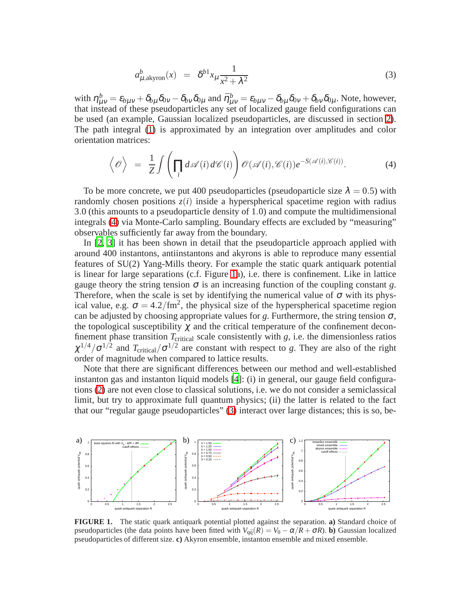$$
a_{\mu,\text{akyron}}^b(x) = \delta^{b1} x_\mu \frac{1}{x^2 + \lambda^2} \tag{3}
$$

with  $\eta^b_{\mu\nu} = \varepsilon_{b\mu\nu} + \delta_{b\mu}\delta_{0\nu} - \delta_{b\nu}\delta_{0\mu}$  and  $\bar{\eta}^b_{\mu\nu} = \varepsilon_{b\mu\nu} - \delta_{b\mu}\delta_{0\nu} + \delta_{b\nu}\delta_{0\mu}$ . Note, however, that instead of these pseudoparticles any set of localized gauge field configurations can be used (an example, Gaussian localized pseudoparticles, are discussed in section [2\)](#page-2-0). The path integral [\(1\)](#page-0-0) is approximated by an integration over amplitudes and color orientation matrices:

$$
\left\langle \mathcal{O} \right\rangle = \frac{1}{Z} \int \left( \prod_i d\mathscr{A}(i) d\mathscr{C}(i) \right) \mathcal{O}(\mathscr{A}(i), \mathscr{C}(i)) e^{-S(\mathscr{A}(i), \mathscr{C}(i))}.
$$
 (4)

<span id="page-1-0"></span>To be more concrete, we put 400 pseudoparticles (pseudoparticle size  $\lambda = 0.5$ ) with randomly chosen positions  $z(i)$  inside a hyperspherical spacetime region with radius 3.0 (this amounts to a pseudoparticle density of 1.0) and compute the multidimensional integrals [\(4\)](#page-1-0) via Monte-Carlo sampling. Boundary effects are excluded by "measuring" observables sufficiently far away from the boundary.

In [\[2,](#page-3-1) [3](#page-3-2)] it has been shown in detail that the pseudoparticle approach applied with around 400 instantons, antiinstantons and akyrons is able to reproduce many essential features of SU(2) Yang-Mills theory. For example the static quark antiquark potential is linear for large separations (c.f. Figure [1a](#page-1-1)), i.e. there is confinement. Like in lattice gauge theory the string tension  $\sigma$  is an increasing function of the coupling constant *g*. Therefore, when the scale is set by identifying the numerical value of  $\sigma$  with its physical value, e.g.  $\sigma = 4.2/\text{fm}^2$ , the physical size of the hyperspherical spacetime region can be adjusted by choosing appropriate values for  $g$ . Furthermore, the string tension  $\sigma$ , the topological susceptibility  $\chi$  and the critical temperature of the confinement deconfinement phase transition *T*<sub>critical</sub> scale consistently with *g*, i.e. the dimensionless ratios  $\chi^{1/4}/\sigma^{1/2}$  and  $T_{critical}/\sigma^{1/2}$  are constant with respect to *g*. They are also of the right order of magnitude when compared to lattice results.

Note that there are significant differences between our method and well-established instanton gas and instanton liquid models [\[4](#page-3-3)]: (i) in general, our gauge field configurations [\(2\)](#page-0-1) are not even close to classical solutions, i.e. we do not consider a semiclassical limit, but try to approximate full quantum physics; (ii) the latter is related to the fact that our "regular gauge pseudoparticles" [\(3\)](#page-0-2) interact over large distances; this is so, be-



<span id="page-1-1"></span>**FIGURE 1.** The static quark antiquark potential plotted against the separation. **a)** Standard choice of pseudoparticles (the data points have been fitted with  $V_{q\bar{q}}(R) = V_0 - \alpha/R + \sigma R$ ). **b**) Gaussian localized pseudoparticles of different size. **c)** Akyron ensemble, instanton ensemble and mixed ensemble.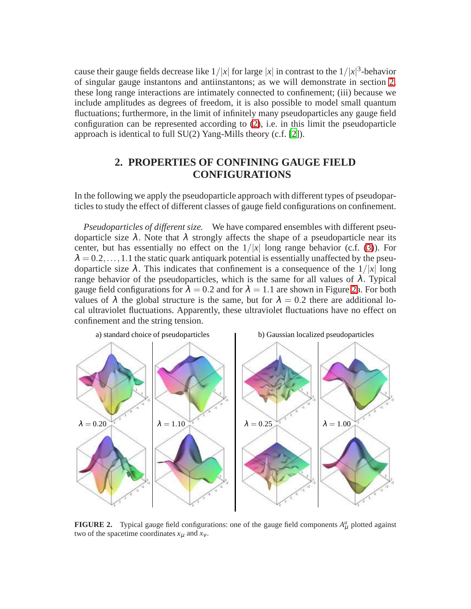cause their gauge fields decrease like  $1/|x|$  for large  $|x|$  in contrast to the  $1/|x|^3$ -behavior of singular gauge instantons and antiinstantons; as we will demonstrate in section [2,](#page-2-0) these long range interactions are intimately connected to confinement; (iii) because we include amplitudes as degrees of freedom, it is also possible to model small quantum fluctuations; furthermore, in the limit of infinitely many pseudoparticles any gauge field configuration can be represented according to [\(2\)](#page-0-1), i.e. in this limit the pseudoparticle approach is identical to full SU(2) Yang-Mills theory (c.f. [\[2](#page-3-1)]).

## **2. PROPERTIES OF CONFINING GAUGE FIELD CONFIGURATIONS**

<span id="page-2-0"></span>In the following we apply the pseudoparticle approach with different types of pseudoparticles to study the effect of different classes of gauge field configurations on confinement.

*Pseudoparticles of different size.* We have compared ensembles with different pseudoparticle size  $\lambda$ . Note that  $\lambda$  strongly affects the shape of a pseudoparticle near its center, but has essentially no effect on the  $1/|x|$  long range behavior (c.f. [\(3\)](#page-0-2)). For  $\lambda = 0.2, \ldots, 1.1$  the static quark antiquark potential is essentially unaffected by the pseudoparticle size  $\lambda$ . This indicates that confinement is a consequence of the  $1/|x|$  long range behavior of the pseudoparticles, which is the same for all values of  $\lambda$ . Typical gauge field configurations for  $\lambda = 0.2$  and for  $\lambda = 1.1$  are shown in Figure [2a](#page-2-1). For both values of  $\lambda$  the global structure is the same, but for  $\lambda = 0.2$  there are additional local ultraviolet fluctuations. Apparently, these ultraviolet fluctuations have no effect on confinement and the string tension.



<span id="page-2-1"></span>**FIGURE 2.** Typical gauge field configurations: one of the gauge field components  $A^a_\mu$  plotted against two of the spacetime coordinates  $x_{\mu}$  and  $x_{\nu}$ .